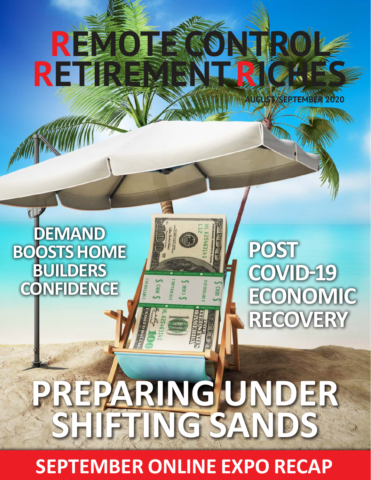

**SEPTEMBER ONLINE EXPO RECAP**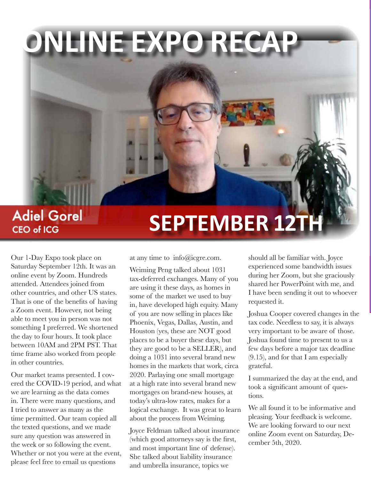# **ONLINE EXPO RECAP**

# **Adiel Gorel SEPTEMBER 12TH**

Our 1-Day Expo took place on Saturday September 12th. It was an online event by Zoom. Hundreds attended. Attendees joined from other countries, and other US states. That is one of the benefits of having a Zoom event. However, not being able to meet you in person was not something I preferred. We shortened the day to four hours. It took place between 10AM and 2PM PST. That time frame also worked from people in other countries.

**CEO of ICG** 

Our market teams presented. I covered the COVID-19 period, and what we are learning as the data comes in. There were many questions, and I tried to answer as many as the time permitted. Our team copied all the texted questions, and we made sure any question was answered in the week or so following the event. Whether or not you were at the event, please feel free to email us questions

at any time to info@icgre.com.

Weiming Peng talked about 1031 tax-deferred exchanges. Many of you are using it these days, as homes in some of the market we used to buy in, have developed high equity. Many of you are now selling in places like Phoenix, Vegas, Dallas, Austin, and Houston (yes, these are NOT good places to be a buyer these days, but they are good to be a SELLER), and doing a 1031 into several brand new homes in the markets that work, circa 2020. Parlaying one small mortgage at a high rate into several brand new mortgages on brand-new houses, at today's ultra-low rates, makes for a logical exchange. It was great to learn about the process from Weiming.

Joyce Feldman talked about insurance (which good attorneys say is the first, and most important line of defense). She talked about liability insurance and umbrella insurance, topics we

should all be familiar with. Joyce experienced some bandwidth issues during her Zoom, but she graciously shared her PowerPoint with me, and I have been sending it out to whoever requested it.

Joshua Cooper covered changes in the tax code. Needless to say, it is always very important to be aware of those. Joshua found time to present to us a few days before a major tax deadline (9.15), and for that I am especially grateful.

I summarized the day at the end, and took a significant amount of questions.

We all found it to be informative and pleasing. Your feedback is welcome. We are looking forward to our next online Zoom event on Saturday, December 5th, 2020.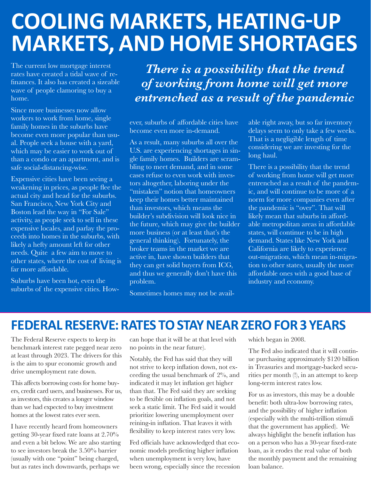# **COOLING MARKETS, HEATING-UP MARKETS, AND HOME SHORTAGES**

The current low mortgage interest rates have created a tidal wave of refinances. It also has created a sizeable wave of people clamoring to buy a home.

Since more businesses now allow workers to work from home, single family homes in the suburbs have become even more popular than usual. People seek a house with a yard, which may be easier to work out of than a condo or an apartment, and is safe social-distancing-wise.

Expensive cities have been seeing a weakening in prices, as people flee the actual city and head for the suburbs. San Francisco, New York City and Boston lead the way in "For Sale" activity, as people seek to sell in these expensive locales, and parlay the proceeds into homes in the suburbs, with likely a hefty amount left for other needs. Quite a few aim to move to other states, where the cost of living is far more affordable.

Suburbs have been hot, even the suburbs of the expensive cities. How-

*There is a possibility that the trend of working from home will get more entrenched as a result of the pandemic*

ever, suburbs of affordable cities have become even more in-demand.

As a result, many suburbs all over the U.S. are experiencing shortages in single family homes. Builders are scrambling to meet demand, and in some cases refuse to even work with investors altogether, laboring under the "mistaken" notion that homeowners keep their homes better maintained than investors, which means the builder's subdivision will look nice in the future, which may give the builder more business (or at least that's the general thinking). Fortunately, the broker teams in the market we are active in, have shown builders that they can get solid buyers from ICG, and thus we generally don't have this problem.

Sometimes homes may not be avail-

able right away, but so far inventory delays seem to only take a few weeks. That is a negligible length of time considering we are investing for the long haul.

There is a possibility that the trend of working from home will get more entrenched as a result of the pandemic, and will continue to be more of a norm for more companies even after the pandemic is "over". That will likely mean that suburbs in affordable metropolitan areas in affordable states, will continue to be in high demand. States like New York and California are likely to experience out-migration, which mean in-migration to other states, usually the more affordable ones with a good base of industry and economy.

#### **FEDERAL RESERVE: RATES TO STAY NEAR ZERO FOR 3 YEARS**

The Federal Reserve expects to keep its benchmark interest rate pegged near zero at least through 2023. The drivers for this is the aim to spur economic growth and drive unemployment rate down.

This affects borrowing costs for home buyers, credit card users, and businesses. For us, as investors, this creates a longer window than we had expected to buy investment homes at the lowest rates ever seen.

I have recently heard from homeowners getting 30-year fixed rate loans at 2.70% and even a bit below. We are also starting to see investors break the 3.50% barrier (usually with one "point" being charged, but as rates inch downwards, perhaps we

can hope that it will be at that level with no points in the near future).

Notably, the Fed has said that they will not strive to keep inflation down, not exceeding the usual benchmark of 2%, and indicated it may let inflation get higher than that. The Fed said they are seeking to be flexible on inflation goals, and not seek a static limit. The Fed said it would prioritize lowering unemployment over reining-in inflation. That leaves it with flexibility to keep interest rates very low.

Fed officials have acknowledged that economic models predicting higher inflation when unemployment is very low, have been wrong, especially since the recession which began in 2008.

The Fed also indicated that it will continue purchasing approximately \$120 billion in Treasuries and mortgage-backed securities per month (!), in an attempt to keep long-term interest rates low.

For us as investors, this may be a double benefit: both ultra-low borrowing rates, and the possibility of higher inflation (especially with the multi-trillion stimuli that the government has applied). We always highlight the benefit inflation has on a person who has a 30-year fixed-rate loan, as it erodes the real value of both the monthly payment and the remaining loan balance.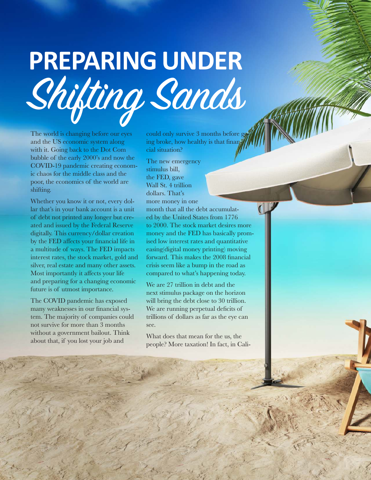# **PREPARING UNDER** Shifting Sands

The world is changing before our eyes and the US economic system along with it. Going back to the Dot Com bubble of the early 2000's and now the COVID-19 pandemic creating economic chaos for the middle class and the poor, the economics of the world are shifting.

Whether you know it or not, every dollar that's in your bank account is a unit of debt not printed any longer but created and issued by the Federal Reserve digitally. This currency/dollar creation by the FED affects your financial life in a multitude of ways. The FED impacts interest rates, the stock market, gold and silver, real estate and many other assets. Most importantly it affects your life and preparing for a changing economic future is of utmost importance.

The COVID pandemic has exposed many weaknesses in our financial system. The majority of companies could not survive for more than 3 months without a government bailout. Think about that, if you lost your job and

could only survive 3 months before going broke, how healthy is that financial situation?

The new emergency stimulus bill, the FED, gave Wall St. 4 trillion dollars. That's more money in one month that all the debt accumulated by the United States from 1776 to 2000. The stock market desires more money and the FED has basically promised low interest rates and quantitative easing(digital money printing) moving forward. This makes the 2008 financial crisis seem like a bump in the road as compared to what's happening today.

We are 27 trillion in debt and the next stimulus package on the horizon will bring the debt close to 30 trillion. We are running perpetual deficits of trillions of dollars as far as the eye can see.

What does that mean for the us, the people? More taxation! In fact, in Cali-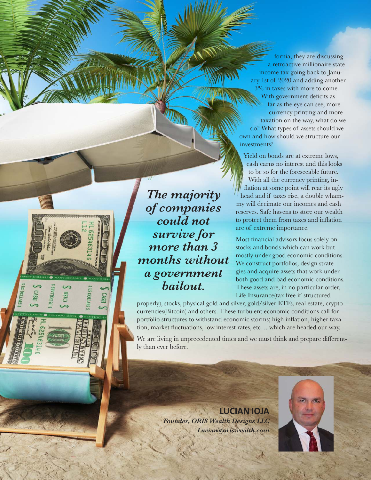fornia, they are discussing a retroactive millionaire state income tax going back to January 1st of 2020 and adding another 3% in taxes with more to come. With government deficits as far as the eye can see, more currency printing and more taxation on the way, what do we do? What types of assets should we own and how should we structure our investments?

Yield on bonds are at extreme lows, cash earns no interest and this looks to be so for the foreseeable future. With all the currency printing, inflation at some point will rear its ugly head and if taxes rise, a double whammy will decimate our incomes and cash reserves. Safe havens to store our wealth to protect them from taxes and inflation are of extreme importance.

Most financial advisors focus solely on stocks and bonds which can work but mostly under good economic conditions. We construct portfolios, design strategies and acquire assets that work under both good and bad economic conditions. These assets are, in no particular order, Life Insurance(tax free if structured

properly), stocks, physical gold and silver, gold/silver ETFs, real estate, crypto currencies(Bitcoin) and others. These turbulent economic conditions call for portfolio structures to withstand economic storms; high inflation, higher taxation, market fluctuations, low interest rates, etc… which are headed our way.

We are living in unprecedented times and we must think and prepare differently than ever before.

> **LUCIAN IOJA** *Founder, ORIS Wealth Designs LLC Lucian@oriswealth.com*



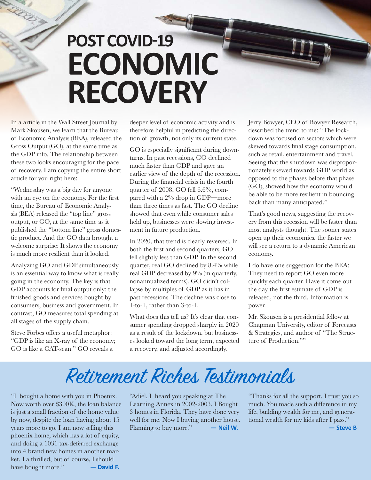# **POST COVID-19 ECONOMIC RECOVERY**

In a article in the Wall Street Journal by Mark Skousen, we learn that the Bureau of Economic Analysis (BEA), released the Gross Output (GO), at the same time as the GDP info. The relationship between these two looks encouraging for the pace of recovery. I am copying the entire short article for you right here:

"Wednesday was a big day for anyone with an eye on the economy. For the first time, the Bureau of Economic Analysis (BEA) released the "top line" gross output, or GO, at the same time as it published the "bottom line" gross domestic product. And the GO data brought a welcome surprise: It shows the economy is much more resilient than it looked.

Analyzing GO and GDP simultaneously is an essential way to know what is really going in the economy. The key is that GDP accounts for final output only: the finished goods and services bought by consumers, business and government. In contrast, GO measures total spending at all stages of the supply chain.

Steve Forbes offers a useful metaphor: "GDP is like an X-ray of the economy; GO is like a CAT-scan." GO reveals a

deeper level of economic activity and is therefore helpful in predicting the direction of growth, not only its current state.

GO is especially significant during downturns. In past recessions, GO declined much faster than GDP and gave an earlier view of the depth of the recession. During the financial crisis in the fourth quarter of 2008, GO fell 6.6%, compared with a 2% drop in GDP—more than three times as fast. The GO decline showed that even while consumer sales held up, businesses were slowing investment in future production.

In 2020, that trend is clearly reversed. In both the first and second quarters, GO fell slightly less than GDP. In the second quarter, real GO declined by 8.4% while real GDP decreased by 9% (in quarterly, nonannualized terms). GO didn't collapse by multiples of GDP as it has in past recessions. The decline was close to 1-to-1, rather than 3-to-1.

What does this tell us? It's clear that consumer spending dropped sharply in 2020 as a result of the lockdown, but businesses looked toward the long term, expected a recovery, and adjusted accordingly.

Jerry Bowyer, CEO of Bowyer Research, described the trend to me: "The lockdown was focused on sectors which were skewed towards final stage consumption, such as retail, entertainment and travel. Seeing that the shutdown was disproportionately skewed towards GDP world as opposed to the phases before that phase (GO), showed how the economy would be able to be more resilient in bouncing back than many anticipated."

That's good news, suggesting the recovery from this recession will be faster than most analysts thought. The sooner states open up their economies, the faster we will see a return to a dynamic American economy.

I do have one suggestion for the BEA: They need to report GO even more quickly each quarter. Have it come out the day the first estimate of GDP is released, not the third. Information is power.

Mr. Skousen is a presidential fellow at Chapman University, editor of Forecasts & Strategies, and author of "The Structure of Production.""

## Retirement Riches Testimonials

"I bought a home with you in Phoenix. Now worth over \$300K, the loan balance is just a small fraction of the home value by now, despite the loan having about 15 years more to go. I am now selling this phoenix home, which has a lot of equity, and doing a 1031 tax-deferred exchange into 4 brand new homes in another market. I a thrilled, but of course, I should have bought more." **— David F.**

"Adiel, I heard you speaking at The Learning Annex in 2002-2003. I Bought 3 homes in Florida. They have done very well for me. Now I buying another house. Planning to buy more." **— Neil W.**

"Thanks for all the support. I trust you so much. You made such a difference in my life, building wealth for me, and generational wealth for my kids after I pass." **— Steve B**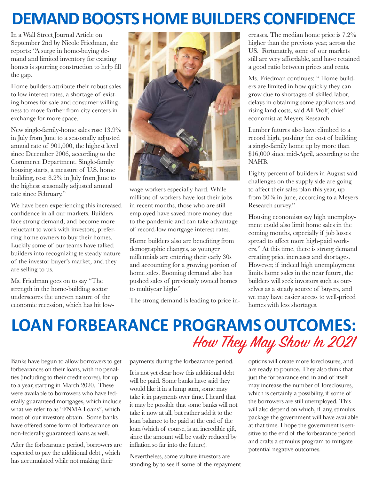## **DEMAND BOOSTS HOME BUILDERS CONFIDENCE**

In a Wall Street Journal Article on September 2nd by Nicole Friedman, she reports: "A surge in home-buying demand and limited inventory for existing homes is spurring construction to help fill the gap.

Home builders attribute their robust sales to low interest rates, a shortage of existing homes for sale and consumer willingness to move farther from city centers in exchange for more space.

New single-family-home sales rose 13.9% in July from June to a seasonally adjusted annual rate of 901,000, the highest level since December 2006, according to the Commerce Department. Single-family housing starts, a measure of U.S. home building, rose 8.2% in July from June to the highest seasonally adjusted annual rate since February."

We have been experiencing this increased confidence in all our markets. Builders face strong demand, and become more reluctant to work with investors, preferring home owners to buy their homes. Luckily some of our teams have talked builders into recognizing te steady nature of the investor buyer's market, and they are selling to us.

Ms. Friedman goes on to say "The strength in the home-building sector underscores the uneven nature of the economic recession, which has hit low-



wage workers especially hard. While millions of workers have lost their jobs in recent months, those who are still employed have saved more money due to the pandemic and can take advantage of record-low mortgage interest rates.

Home builders also are benefiting from demographic changes, as younger millennials are entering their early 30s and accounting for a growing portion of home sales. Booming demand also has pushed sales of previously owned homes to multiyear highs"

The strong demand is leading to price in-

creases. The median home price is 7.2% higher than the previous year, across the US. Fortunately, some of our markets still are very affordable, and have retained a good ratio between prices and rents.

Ms. Friedman continues: " Home builders are limited in how quickly they can grow due to shortages of skilled labor, delays in obtaining some appliances and rising land costs, said Ali Wolf, chief economist at Meyers Research.

Lumber futures also have climbed to a record high, pushing the cost of building a single-family home up by more than \$16,000 since mid-April, according to the NAHB.

Eighty percent of builders in August said challenges on the supply side are going to affect their sales plan this year, up from 30% in June, according to a Meyers Research survey."

Housing economists say high unemployment could also limit home sales in the coming months, especially if job losses spread to affect more high-paid workers." At this time, there is strong demand creating price increases and shortages. However, if indeed high unemployment limits home sales in the near future, the builders will seek investors such as ourselves as a steady source of buyers, and we may have easier access to well-priced homes with less shortages.

### **LOAN FORBEARANCE PROGRAMSOUTCOMES:** How They May Show In 2021

Banks have begun to allow borrowers to get forbearances on their loans, with no penalties (including to their credit scores), for up to a year, starting in March 2020. These were available to borrowers who have federally guaranteed mortgages, which include what we refer to as "FNMA Loans", which most of our investors obtain. Some banks have offered some form of forbearance on non-federally guaranteed loans as well.

After the forbearance period, borrowers are expected to pay the additional debt , which has accumulated while not making their

payments during the forbearance period.

It is not yet clear how this additional debt will be paid. Some banks have said they would like it in a lump sum, some may take it in payments over time. I heard that it may be possible that some banks will not take it now at all, but rather add it to the loan balance to be paid at the end of the loan (which of course, is an incredible gift, since the amount will be vastly reduced by inflation so far into the future).

Nevertheless, some vulture investors are standing by to see if some of the repayment

options will create more foreclosures, and are ready to pounce. They also think that just the forbearance end in and of itself may increase the number of foreclosures, which is certainly a possibility, if some of the borrowers are still unemployed. This will also depend on which, if any, stimulus package the government will have available at that time. I hope the government is sensitive to the end of the forbearance period and crafts a stimulus program to mitigate potential negative outcomes.